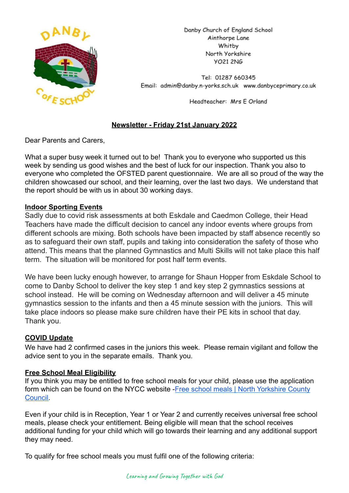

Danby Church of England School Ainthorpe Lane Whitby North Yorkshire **YO21 2NG** 

Tel: 01287 660345 Email: admin@danby.n-yorks.sch.uk www.danbyceprimary.co.uk

Headteacher: Mrs E Orland

## **Newsletter - Friday 21st January 2022**

Dear Parents and Carers,

What a super busy week it turned out to be! Thank you to everyone who supported us this week by sending us good wishes and the best of luck for our inspection. Thank you also to everyone who completed the OFSTED parent questionnaire. We are all so proud of the way the children showcased our school, and their learning, over the last two days. We understand that the report should be with us in about 30 working days.

#### **Indoor Sporting Events**

Sadly due to covid risk assessments at both Eskdale and Caedmon College, their Head Teachers have made the difficult decision to cancel any indoor events where groups from different schools are mixing. Both schools have been impacted by staff absence recently so as to safeguard their own staff, pupils and taking into consideration the safety of those who attend. This means that the planned Gymnastics and Multi Skills will not take place this half term. The situation will be monitored for post half term events.

We have been lucky enough however, to arrange for Shaun Hopper from Eskdale School to come to Danby School to deliver the key step 1 and key step 2 gymnastics sessions at school instead. He will be coming on Wednesday afternoon and will deliver a 45 minute gymnastics session to the infants and then a 45 minute session with the juniors. This will take place indoors so please make sure children have their PE kits in school that day. Thank you.

#### **COVID Update**

We have had 2 confirmed cases in the juniors this week. Please remain vigilant and follow the advice sent to you in the separate emails. Thank you.

#### **Free School Meal Eligibility**

If you think you may be entitled to free school meals for your child, please use the application form which can be found on the NYCC website -Free [school meals | North Yorkshire County](https://www.northyorks.gov.uk/free-school-meals) [Council.](https://www.northyorks.gov.uk/free-school-meals)

Even if your child is in Reception, Year 1 or Year 2 and currently receives universal free school meals, please check your entitlement. Being eligible will mean that the school receives additional funding for your child which will go towards their learning and any additional support they may need.

To qualify for free school meals you must fulfil one of the following criteria: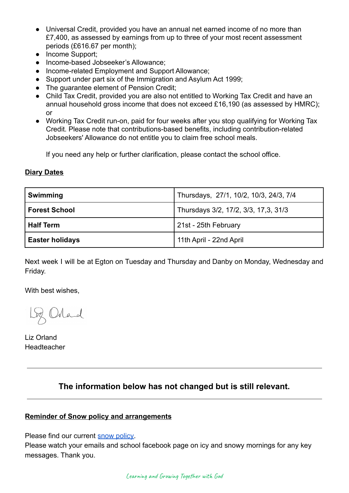- Universal Credit, provided you have an annual net earned income of no more than £7,400, as assessed by earnings from up to three of your most recent assessment periods (£616.67 per month);
- Income Support;
- Income-based Jobseeker's Allowance;
- Income-related Employment and Support Allowance;
- Support under part six of the Immigration and Asylum Act 1999;
- The guarantee element of Pension Credit;
- Child Tax Credit, provided you are also not entitled to Working Tax Credit and have an annual household gross income that does not exceed £16,190 (as assessed by HMRC); or
- Working Tax Credit run-on, paid for four weeks after you stop qualifying for Working Tax Credit. Please note that contributions-based benefits, including contribution-related Jobseekers' Allowance do not entitle you to claim free school meals.

If you need any help or further clarification, please contact the school office.

#### **Diary Dates**

| Swimming               | Thursdays, 27/1, 10/2, 10/3, 24/3, 7/4 |
|------------------------|----------------------------------------|
| <b>Forest School</b>   | Thursdays 3/2, 17/2, 3/3, 17,3, 31/3   |
| <b>Half Term</b>       | 21st - 25th February                   |
| <b>Easter holidays</b> | 11th April - 22nd April                |

Next week I will be at Egton on Tuesday and Thursday and Danby on Monday, Wednesday and Friday.

With best wishes,

Loz Orland

Liz Orland Headteacher

# **The information below has not changed but is still relevant.**

#### **Reminder of Snow policy and arrangements**

Please find our current [snow policy.](https://drive.google.com/file/d/1PQF-KS64Fiqqa-jJlT9mfUV8MedCZC4v/view?usp=sharing)

Please watch your emails and school facebook page on icy and snowy mornings for any key messages. Thank you.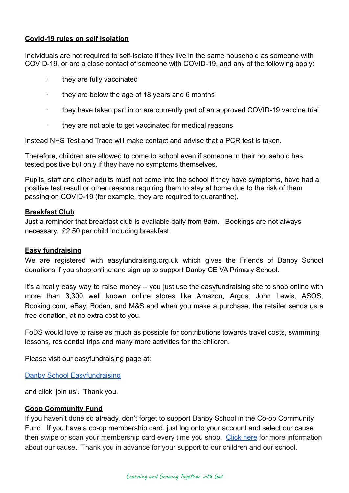#### **Covid-19 rules on self isolation**

Individuals are not required to self-isolate if they live in the same household as someone with COVID-19, or are a close contact of someone with COVID-19, and any of the following apply:

- they are fully vaccinated
- they are below the age of 18 years and 6 months
- · they have taken part in or are currently part of an approved COVID-19 vaccine trial
- · they are not able to get vaccinated for medical reasons

Instead NHS Test and Trace will make contact and advise that a PCR test is taken.

Therefore, children are allowed to come to school even if someone in their household has tested positive but only if they have no symptoms themselves.

Pupils, staff and other adults must not come into the school if they have symptoms, have had a positive test result or other reasons requiring them to stay at home due to the risk of them passing on COVID-19 (for example, they are required to quarantine).

#### **Breakfast Club**

Just a reminder that breakfast club is available daily from 8am. Bookings are not always necessary. £2.50 per child including breakfast.

#### **Easy fundraising**

We are registered with easyfundraising.org.uk which gives the Friends of Danby School donations if you shop online and sign up to support Danby CE VA Primary School.

It's a really easy way to raise money – you just use the easyfundraising site to shop online with more than 3,300 well known online stores like Amazon, Argos, John Lewis, ASOS, Booking.com, eBay, Boden, and M&S and when you make a purchase, the retailer sends us a free donation, at no extra cost to you.

FoDS would love to raise as much as possible for contributions towards travel costs, swimming lessons, residential trips and many more activities for the children.

Please visit our easyfundraising page at:

[Danby School Easyfundraising](https://www.easyfundraising.org.uk/causes/danbysch/?q=Danby%20School&cat=cause-autosuggest)

and click 'join us'. Thank you.

#### **Coop Community Fund**

If you haven't done so already, don't forget to support Danby School in the Co-op Community Fund. If you have a co-op membership card, just log onto your account and select our cause then swipe or scan your membership card every time you shop. [Click here](https://co-operate.coop.co.uk/groups/danby-church-of-england-primary-school/) for more information about our cause. Thank you in advance for your support to our children and our school.